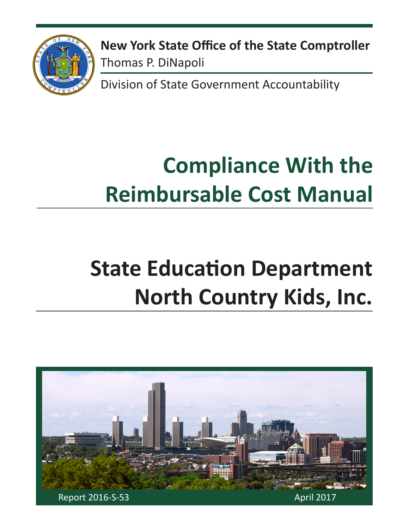

**New York State Office of the State Comptroller** Thomas P. DiNapoli

Division of State Government Accountability

# **Compliance With the Reimbursable Cost Manual**

# **State Education Department North Country Kids, Inc.**

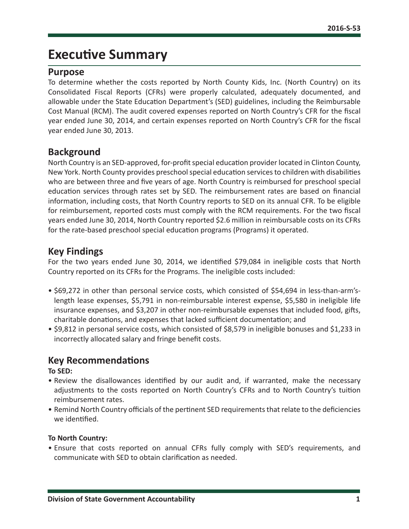# **Executive Summary**

## **Purpose**

To determine whether the costs reported by North County Kids, Inc. (North Country) on its Consolidated Fiscal Reports (CFRs) were properly calculated, adequately documented, and allowable under the State Education Department's (SED) guidelines, including the Reimbursable Cost Manual (RCM). The audit covered expenses reported on North Country's CFR for the fiscal year ended June 30, 2014, and certain expenses reported on North Country's CFR for the fiscal year ended June 30, 2013.

## **Background**

North Country is an SED-approved, for-profit special education provider located in Clinton County, New York. North County provides preschool special education services to children with disabilities who are between three and five years of age. North Country is reimbursed for preschool special education services through rates set by SED. The reimbursement rates are based on financial information, including costs, that North Country reports to SED on its annual CFR. To be eligible for reimbursement, reported costs must comply with the RCM requirements. For the two fiscal years ended June 30, 2014, North Country reported \$2.6 million in reimbursable costs on its CFRs for the rate-based preschool special education programs (Programs) it operated.

## **Key Findings**

For the two years ended June 30, 2014, we identified \$79,084 in ineligible costs that North Country reported on its CFRs for the Programs. The ineligible costs included:

- \$69,272 in other than personal service costs, which consisted of \$54,694 in less-than-arm'slength lease expenses, \$5,791 in non-reimbursable interest expense, \$5,580 in ineligible life insurance expenses, and \$3,207 in other non-reimbursable expenses that included food, gifts, charitable donations, and expenses that lacked sufficient documentation; and
- \$9,812 in personal service costs, which consisted of \$8,579 in ineligible bonuses and \$1,233 in incorrectly allocated salary and fringe benefit costs.

## **Key Recommendations**

**To SED:**

- Review the disallowances identified by our audit and, if warranted, make the necessary adjustments to the costs reported on North Country's CFRs and to North Country's tuition reimbursement rates.
- Remind North Country officials of the pertinent SED requirements that relate to the deficiencies we identified.

#### **To North Country:**

• Ensure that costs reported on annual CFRs fully comply with SED's requirements, and communicate with SED to obtain clarification as needed.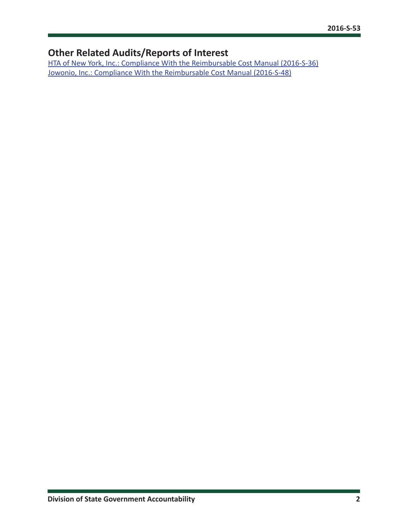# **Other Related Audits/Reports of Interest**

[HTA of New York, Inc.: Compliance With the Reimbursable Cost Manual \(2016-S-36\)](http://osc.state.ny.us/audits/allaudits/093017/16s36.pdf) [Jowonio, Inc.: Compliance With the Reimbursable Cost Manual \(2016-S-48\)](http://osc.state.ny.us/audits/allaudits/093017/16s48.pdf)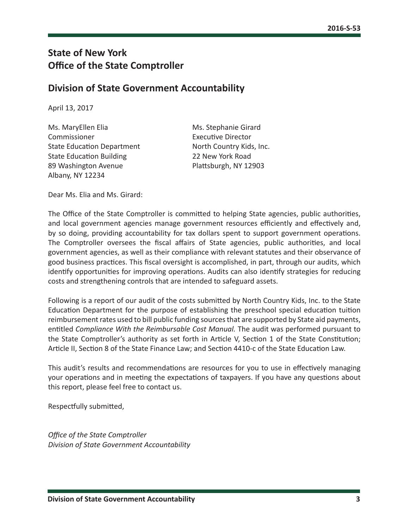# **State of New York Office of the State Comptroller**

## **Division of State Government Accountability**

April 13, 2017

Ms. MaryEllen Elia Ms. Stephanie Girard Commissioner Executive Director State Education Department North Country Kids, Inc. State Education Building 22 New York Road 89 Washington Avenue Plattsburgh, NY 12903 Albany, NY 12234

Dear Ms. Elia and Ms. Girard:

The Office of the State Comptroller is committed to helping State agencies, public authorities, and local government agencies manage government resources efficiently and effectively and, by so doing, providing accountability for tax dollars spent to support government operations. The Comptroller oversees the fiscal affairs of State agencies, public authorities, and local government agencies, as well as their compliance with relevant statutes and their observance of good business practices. This fiscal oversight is accomplished, in part, through our audits, which identify opportunities for improving operations. Audits can also identify strategies for reducing costs and strengthening controls that are intended to safeguard assets.

Following is a report of our audit of the costs submitted by North Country Kids, Inc. to the State Education Department for the purpose of establishing the preschool special education tuition reimbursement rates used to bill public funding sources that are supported by State aid payments, entitled *Compliance With the Reimbursable Cost Manual.* The audit was performed pursuant to the State Comptroller's authority as set forth in Article V, Section 1 of the State Constitution; Article II, Section 8 of the State Finance Law; and Section 4410-c of the State Education Law.

This audit's results and recommendations are resources for you to use in effectively managing your operations and in meeting the expectations of taxpayers. If you have any questions about this report, please feel free to contact us.

Respectfully submitted,

*Office of the State Comptroller Division of State Government Accountability*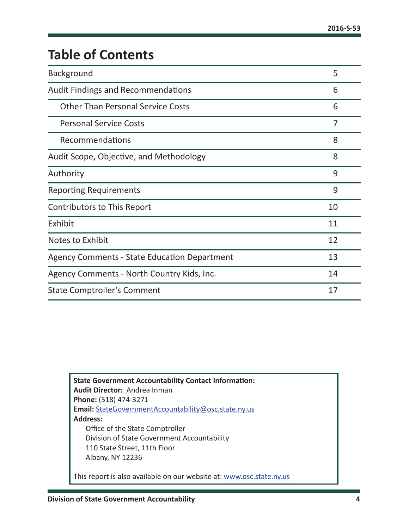# **Table of Contents**

| Background                                          | 5              |
|-----------------------------------------------------|----------------|
| <b>Audit Findings and Recommendations</b>           | 6              |
| <b>Other Than Personal Service Costs</b>            | 6              |
| <b>Personal Service Costs</b>                       | $\overline{7}$ |
| Recommendations                                     | 8              |
| Audit Scope, Objective, and Methodology             | 8              |
| Authority                                           | 9              |
| <b>Reporting Requirements</b>                       | 9              |
| Contributors to This Report                         | 10             |
| Exhibit                                             | 11             |
| Notes to Exhibit                                    | 12             |
| <b>Agency Comments - State Education Department</b> | 13             |
| Agency Comments - North Country Kids, Inc.          | 14             |
| State Comptroller's Comment                         | 17             |

**State Government Accountability Contact Information: Audit Director:** Andrea Inman **Phone:** (518) 474-3271 **Email:** [StateGovernmentAccountability@osc.state.ny.us](mailto:StateGovernmentAccountability%40osc.state.ny.us?subject=) **Address:** Office of the State Comptroller Division of State Government Accountability 110 State Street, 11th Floor Albany, NY 12236 This report is also available on our website at: [www.osc.state.ny.us](http://www.osc.state.ny.us)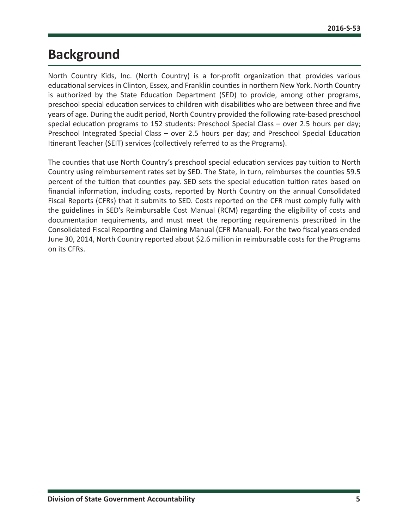# <span id="page-5-0"></span>**Background**

North Country Kids, Inc. (North Country) is a for-profit organization that provides various educational services in Clinton, Essex, and Franklin counties in northern New York. North Country is authorized by the State Education Department (SED) to provide, among other programs, preschool special education services to children with disabilities who are between three and five years of age. During the audit period, North Country provided the following rate-based preschool special education programs to 152 students: Preschool Special Class – over 2.5 hours per day; Preschool Integrated Special Class – over 2.5 hours per day; and Preschool Special Education Itinerant Teacher (SEIT) services (collectively referred to as the Programs).

The counties that use North Country's preschool special education services pay tuition to North Country using reimbursement rates set by SED. The State, in turn, reimburses the counties 59.5 percent of the tuition that counties pay. SED sets the special education tuition rates based on financial information, including costs, reported by North Country on the annual Consolidated Fiscal Reports (CFRs) that it submits to SED. Costs reported on the CFR must comply fully with the guidelines in SED's Reimbursable Cost Manual (RCM) regarding the eligibility of costs and documentation requirements, and must meet the reporting requirements prescribed in the Consolidated Fiscal Reporting and Claiming Manual (CFR Manual). For the two fiscal years ended June 30, 2014, North Country reported about \$2.6 million in reimbursable costs for the Programs on its CFRs.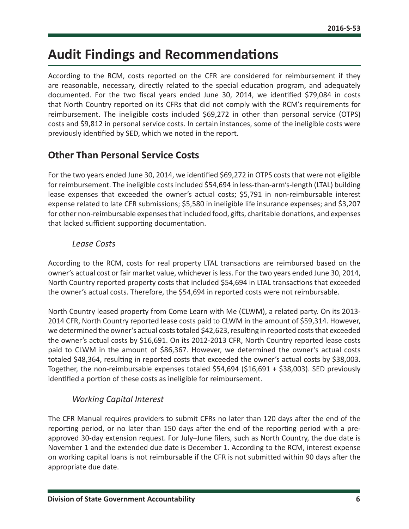# <span id="page-6-0"></span>**Audit Findings and Recommendations**

According to the RCM, costs reported on the CFR are considered for reimbursement if they are reasonable, necessary, directly related to the special education program, and adequately documented. For the two fiscal years ended June 30, 2014, we identified \$79,084 in costs that North Country reported on its CFRs that did not comply with the RCM's requirements for reimbursement. The ineligible costs included \$69,272 in other than personal service (OTPS) costs and \$9,812 in personal service costs. In certain instances, some of the ineligible costs were previously identified by SED, which we noted in the report.

## **Other Than Personal Service Costs**

For the two years ended June 30, 2014, we identified \$69,272 in OTPS costs that were not eligible for reimbursement. The ineligible costs included \$54,694 in less-than-arm's-length (LTAL) building lease expenses that exceeded the owner's actual costs; \$5,791 in non-reimbursable interest expense related to late CFR submissions; \$5,580 in ineligible life insurance expenses; and \$3,207 for other non-reimbursable expenses that included food, gifts, charitable donations, and expenses that lacked sufficient supporting documentation.

## *Lease Costs*

According to the RCM, costs for real property LTAL transactions are reimbursed based on the owner's actual cost or fair market value, whichever is less. For the two years ended June 30, 2014, North Country reported property costs that included \$54,694 in LTAL transactions that exceeded the owner's actual costs. Therefore, the \$54,694 in reported costs were not reimbursable.

North Country leased property from Come Learn with Me (CLWM), a related party. On its 2013- 2014 CFR, North Country reported lease costs paid to CLWM in the amount of \$59,314. However, we determined the owner's actual costs totaled \$42,623, resulting in reported costs that exceeded the owner's actual costs by \$16,691. On its 2012-2013 CFR, North Country reported lease costs paid to CLWM in the amount of \$86,367. However, we determined the owner's actual costs totaled \$48,364, resulting in reported costs that exceeded the owner's actual costs by \$38,003. Together, the non-reimbursable expenses totaled \$54,694 (\$16,691 + \$38,003). SED previously identified a portion of these costs as ineligible for reimbursement.

## *Working Capital Interest*

The CFR Manual requires providers to submit CFRs no later than 120 days after the end of the reporting period, or no later than 150 days after the end of the reporting period with a preapproved 30-day extension request. For July–June filers, such as North Country, the due date is November 1 and the extended due date is December 1. According to the RCM, interest expense on working capital loans is not reimbursable if the CFR is not submitted within 90 days after the appropriate due date.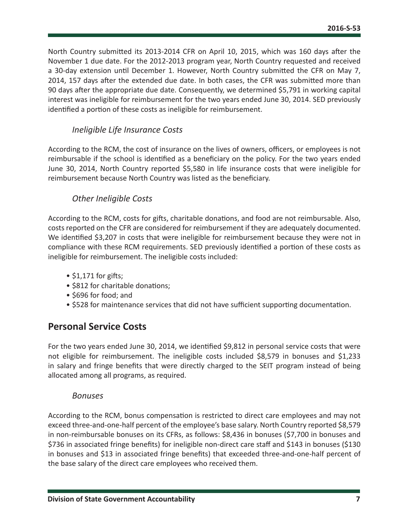<span id="page-7-0"></span>North Country submitted its 2013-2014 CFR on April 10, 2015, which was 160 days after the November 1 due date. For the 2012-2013 program year, North Country requested and received a 30-day extension until December 1. However, North Country submitted the CFR on May 7, 2014, 157 days after the extended due date. In both cases, the CFR was submitted more than 90 days after the appropriate due date. Consequently, we determined \$5,791 in working capital interest was ineligible for reimbursement for the two years ended June 30, 2014. SED previously identified a portion of these costs as ineligible for reimbursement.

## *Ineligible Life Insurance Costs*

According to the RCM, the cost of insurance on the lives of owners, officers, or employees is not reimbursable if the school is identified as a beneficiary on the policy. For the two years ended June 30, 2014, North Country reported \$5,580 in life insurance costs that were ineligible for reimbursement because North Country was listed as the beneficiary.

#### *Other Ineligible Costs*

According to the RCM, costs for gifts, charitable donations, and food are not reimbursable. Also, costs reported on the CFR are considered for reimbursement if they are adequately documented. We identified \$3,207 in costs that were ineligible for reimbursement because they were not in compliance with these RCM requirements. SED previously identified a portion of these costs as ineligible for reimbursement. The ineligible costs included:

- $\bullet$  \$1,171 for gifts;
- \$812 for charitable donations;
- \$696 for food; and
- \$528 for maintenance services that did not have sufficient supporting documentation.

## **Personal Service Costs**

For the two years ended June 30, 2014, we identified \$9,812 in personal service costs that were not eligible for reimbursement. The ineligible costs included \$8,579 in bonuses and \$1,233 in salary and fringe benefits that were directly charged to the SEIT program instead of being allocated among all programs, as required.

#### *Bonuses*

According to the RCM, bonus compensation is restricted to direct care employees and may not exceed three-and-one-half percent of the employee's base salary. North Country reported \$8,579 in non-reimbursable bonuses on its CFRs, as follows: \$8,436 in bonuses (\$7,700 in bonuses and \$736 in associated fringe benefits) for ineligible non-direct care staff and \$143 in bonuses (\$130 in bonuses and \$13 in associated fringe benefits) that exceeded three-and-one-half percent of the base salary of the direct care employees who received them.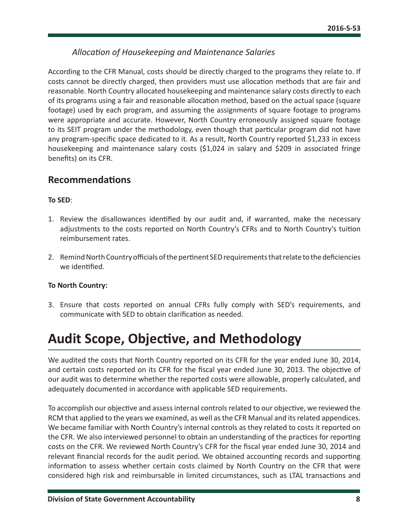## *Allocation of Housekeeping and Maintenance Salaries*

<span id="page-8-0"></span>According to the CFR Manual, costs should be directly charged to the programs they relate to. If costs cannot be directly charged, then providers must use allocation methods that are fair and reasonable. North Country allocated housekeeping and maintenance salary costs directly to each of its programs using a fair and reasonable allocation method, based on the actual space (square footage) used by each program, and assuming the assignments of square footage to programs were appropriate and accurate. However, North Country erroneously assigned square footage to its SEIT program under the methodology, even though that particular program did not have any program-specific space dedicated to it. As a result, North Country reported \$1,233 in excess housekeeping and maintenance salary costs (\$1,024 in salary and \$209 in associated fringe benefits) on its CFR.

## **Recommendations**

#### **To SED**:

- 1. Review the disallowances identified by our audit and, if warranted, make the necessary adjustments to the costs reported on North Country's CFRs and to North Country's tuition reimbursement rates.
- 2. Remind North Country officials of the pertinent SED requirements that relate to the deficiencies we identified.

#### **To North Country:**

3. Ensure that costs reported on annual CFRs fully comply with SED's requirements, and communicate with SED to obtain clarification as needed.

# **Audit Scope, Objective, and Methodology**

We audited the costs that North Country reported on its CFR for the year ended June 30, 2014, and certain costs reported on its CFR for the fiscal year ended June 30, 2013. The objective of our audit was to determine whether the reported costs were allowable, properly calculated, and adequately documented in accordance with applicable SED requirements.

To accomplish our objective and assess internal controls related to our objective, we reviewed the RCM that applied to the years we examined, as well as the CFR Manual and its related appendices. We became familiar with North Country's internal controls as they related to costs it reported on the CFR. We also interviewed personnel to obtain an understanding of the practices for reporting costs on the CFR. We reviewed North Country's CFR for the fiscal year ended June 30, 2014 and relevant financial records for the audit period. We obtained accounting records and supporting information to assess whether certain costs claimed by North Country on the CFR that were considered high risk and reimbursable in limited circumstances, such as LTAL transactions and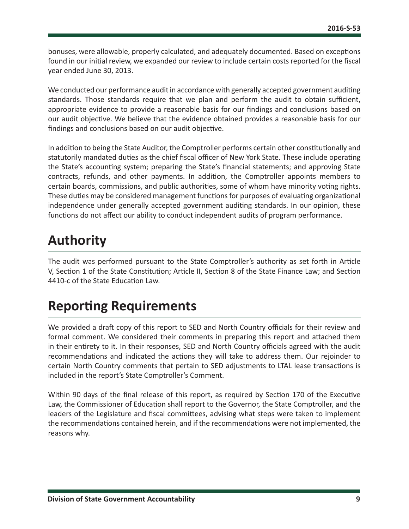<span id="page-9-0"></span>bonuses, were allowable, properly calculated, and adequately documented. Based on exceptions found in our initial review, we expanded our review to include certain costs reported for the fiscal year ended June 30, 2013.

We conducted our performance audit in accordance with generally accepted government auditing standards. Those standards require that we plan and perform the audit to obtain sufficient, appropriate evidence to provide a reasonable basis for our findings and conclusions based on our audit objective. We believe that the evidence obtained provides a reasonable basis for our findings and conclusions based on our audit objective.

In addition to being the State Auditor, the Comptroller performs certain other constitutionally and statutorily mandated duties as the chief fiscal officer of New York State. These include operating the State's accounting system; preparing the State's financial statements; and approving State contracts, refunds, and other payments. In addition, the Comptroller appoints members to certain boards, commissions, and public authorities, some of whom have minority voting rights. These duties may be considered management functions for purposes of evaluating organizational independence under generally accepted government auditing standards. In our opinion, these functions do not affect our ability to conduct independent audits of program performance.

# **Authority**

The audit was performed pursuant to the State Comptroller's authority as set forth in Article V, Section 1 of the State Constitution; Article II, Section 8 of the State Finance Law; and Section 4410-c of the State Education Law.

# **Reporting Requirements**

We provided a draft copy of this report to SED and North Country officials for their review and formal comment. We considered their comments in preparing this report and attached them in their entirety to it. In their responses, SED and North Country officials agreed with the audit recommendations and indicated the actions they will take to address them. Our rejoinder to certain North Country comments that pertain to SED adjustments to LTAL lease transactions is included in the report's State Comptroller's Comment.

Within 90 days of the final release of this report, as required by Section 170 of the Executive Law, the Commissioner of Education shall report to the Governor, the State Comptroller, and the leaders of the Legislature and fiscal committees, advising what steps were taken to implement the recommendations contained herein, and if the recommendations were not implemented, the reasons why.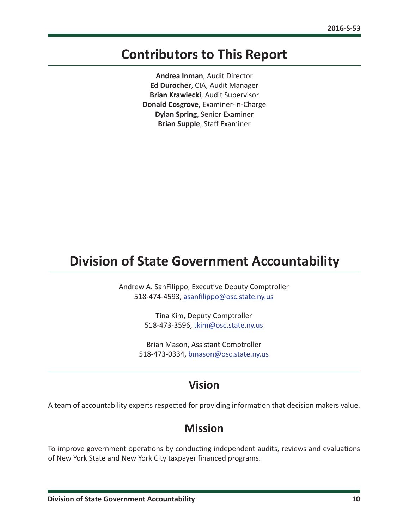# <span id="page-10-0"></span>**Contributors to This Report**

**Andrea Inman**, Audit Director **Ed Durocher**, CIA, Audit Manager **Brian Krawiecki**, Audit Supervisor **Donald Cosgrove**, Examiner-in-Charge **Dylan Spring**, Senior Examiner **Brian Supple**, Staff Examiner

# **Division of State Government Accountability**

Andrew A. SanFilippo, Executive Deputy Comptroller 518-474-4593, [asanfilippo@osc.state.ny.us](mailto:asanfilippo%40osc.state.ny.us%0D?subject=)

> Tina Kim, Deputy Comptroller 518-473-3596, [tkim@osc.state.ny.us](mailto:tkim%40osc.state.ny.us?subject=)

Brian Mason, Assistant Comptroller 518-473-0334, [bmason@osc.state.ny.us](mailto:bmason%40osc.state.ny.us?subject=)

# **Vision**

A team of accountability experts respected for providing information that decision makers value.

## **Mission**

To improve government operations by conducting independent audits, reviews and evaluations of New York State and New York City taxpayer financed programs.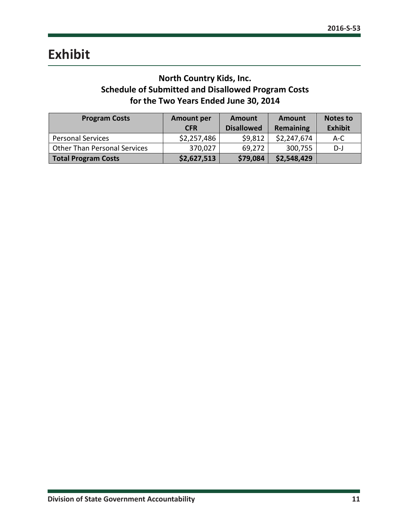## **North Country Kids, Inc. Schedule of Submitted and Disallowed Program Costs for the Two Years Ended June 30, 2014**

<span id="page-11-0"></span>

| <b>Program Costs</b>                | <b>Amount per</b><br><b>CFR</b> | Amount<br><b>Disallowed</b> | <b>Amount</b><br>Remaining | Notes to<br><b>Exhibit</b> |
|-------------------------------------|---------------------------------|-----------------------------|----------------------------|----------------------------|
| <b>Personal Services</b>            | \$2,257,486                     | \$9,812                     | \$2,247,674                | $A-C$                      |
| <b>Other Than Personal Services</b> | 370,027                         | 69,272                      | 300,755                    | D-J                        |
| Total Program Costs                 | \$2,627,513                     | \$79,084                    | \$2,548,429                |                            |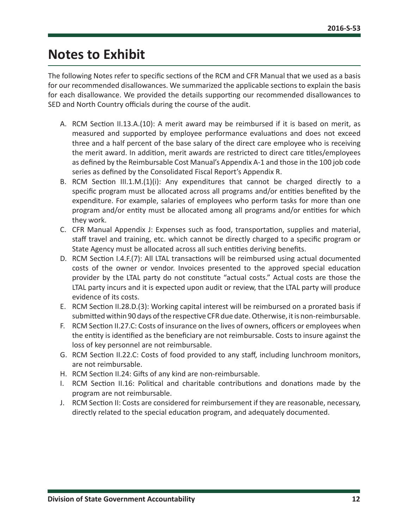# <span id="page-12-0"></span>**Notes to Exhibit**

The following Notes refer to specific sections of the RCM and CFR Manual that we used as a basis for our recommended disallowances. We summarized the applicable sections to explain the basis for each disallowance. We provided the details supporting our recommended disallowances to SED and North Country officials during the course of the audit.

- A. RCM Section II.13.A.(10): A merit award may be reimbursed if it is based on merit, as measured and supported by employee performance evaluations and does not exceed three and a half percent of the base salary of the direct care employee who is receiving the merit award. In addition, merit awards are restricted to direct care titles/employees as defined by the Reimbursable Cost Manual's Appendix A-1 and those in the 100 job code series as defined by the Consolidated Fiscal Report's Appendix R.
- B. RCM Section III.1.M.(1)(i): Any expenditures that cannot be charged directly to a specific program must be allocated across all programs and/or entities benefited by the expenditure. For example, salaries of employees who perform tasks for more than one program and/or entity must be allocated among all programs and/or entities for which they work.
- C. CFR Manual Appendix J: Expenses such as food, transportation, supplies and material, staff travel and training, etc. which cannot be directly charged to a specific program or State Agency must be allocated across all such entities deriving benefits.
- D. RCM Section I.4.F.(7): All LTAL transactions will be reimbursed using actual documented costs of the owner or vendor. Invoices presented to the approved special education provider by the LTAL party do not constitute "actual costs." Actual costs are those the LTAL party incurs and it is expected upon audit or review, that the LTAL party will produce evidence of its costs.
- E. RCM Section II.28.D.(3): Working capital interest will be reimbursed on a prorated basis if submitted within 90 days of the respective CFR due date. Otherwise, it is non-reimbursable.
- F. RCM Section II.27.C: Costs of insurance on the lives of owners, officers or employees when the entity is identified as the beneficiary are not reimbursable. Costs to insure against the loss of key personnel are not reimbursable.
- G. RCM Section II.22.C: Costs of food provided to any staff, including lunchroom monitors, are not reimbursable.
- H. RCM Section II.24: Gifts of any kind are non-reimbursable.
- I. RCM Section II.16: Political and charitable contributions and donations made by the program are not reimbursable.
- J. RCM Section II: Costs are considered for reimbursement if they are reasonable, necessary, directly related to the special education program, and adequately documented.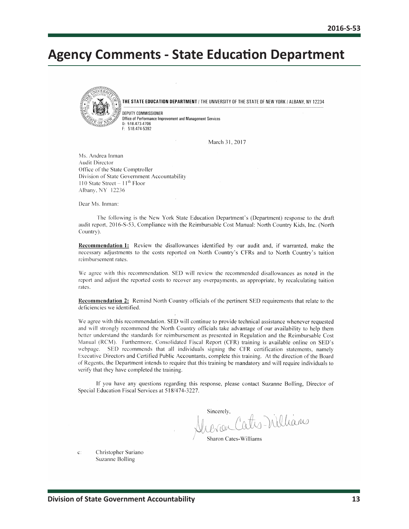# <span id="page-13-0"></span>**Agency Comments - State Education Department**



THE STATE EDUCATION DEPARTMENT / THE UNIVERSITY OF THE STATE OF NEW YORK / ALBANY, NY 12234

DEPUTY COMMISSIONER Office of Performance Improvement and Management Services 0: 518.473-4706 F: 518.474-5392

March 31, 2017

Ms. Andrea Inman **Audit Director** Office of the State Comptroller Division of State Government Accountability 110 State Street –  $11<sup>th</sup>$  Floor Albany, NY 12236

Dear Ms. Inman:

The following is the New York State Education Department's (Department) response to the draft audit report, 2016-S-53, Compliance with the Reimbursable Cost Manual: North Country Kids, Inc. (North Country).

Recommendation 1: Review the disallowances identified by our audit and, if warranted, make the necessary adjustments to the costs reported on North Country's CFRs and to North Country's tuition reimbursement rates.

We agree with this recommendation. SED will review the recommended disallowances as noted in the report and adjust the reported costs to recover any overpayments, as appropriate, by recalculating tuition rates.

Recommendation 2: Remind North Country officials of the pertinent SED requirements that relate to the deficiencies we identified.

We agree with this recommendation. SED will continue to provide technical assistance whenever requested and will strongly recommend the North Country officials take advantage of our availability to help them better understand the standards for reimbursement as presented in Regulation and the Reimbursable Cost Manual (RCM). Furthermore, Consolidated Fiscal Report (CFR) training is available online on SED's webpage. SED recommends that all individuals signing the CFR certification statements, namely Executive Directors and Certified Public Accountants, complete this training. At the direction of the Board of Regents, the Department intends to require that this training be mandatory and will require individuals to verify that they have completed the training.

If you have any questions regarding this response, please contact Suzanne Bolling, Director of Special Education Fiscal Services at 518/474-3227.

Sincerely, oth Villians

Sharon Cates-Williams

 $C$ :

Christopher Suriano Suzanne Bolling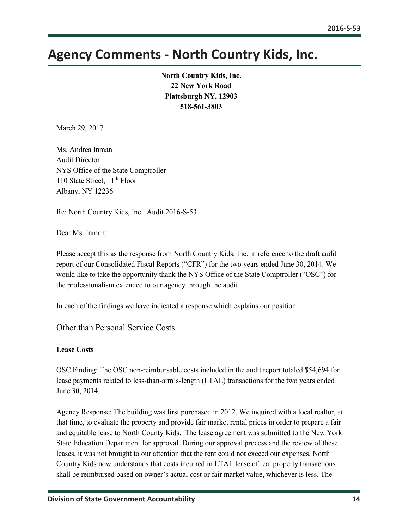# <span id="page-14-0"></span>**Agency Comments - North Country Kids, Inc.**

**North Country Kids, Inc. 22 New York Road Plattsburgh NY, 12903 518-561-3803**

March 29, 2017

Ms. Andrea Inman Audit Director NYS Office of the State Comptroller 110 State Street, 11<sup>th</sup> Floor Albany, NY 12236

Re: North Country Kids, Inc. Audit 2016-S-53

Dear Ms. Inman:

Please accept this as the response from North Country Kids, Inc. in reference to the draft audit report of our Consolidated Fiscal Reports ("CFR") for the two years ended June 30, 2014. We would like to take the opportunity thank the NYS Office of the State Comptroller ("OSC") for the professionalism extended to our agency through the audit.

In each of the findings we have indicated a response which explains our position.

#### Other than Personal Service Costs

#### **Lease Costs**

OSC Finding: The OSC non-reimbursable costs included in the audit report totaled \$54,694 for lease payments related to less-than-arm's-length (LTAL) transactions for the two years ended June 30, 2014.

Agency Response: The building was first purchased in 2012. We inquired with a local realtor, at that time, to evaluate the property and provide fair market rental prices in order to prepare a fair and equitable lease to North County Kids. The lease agreement was submitted to the New York State Education Department for approval. During our approval process and the review of these leases, it was not brought to our attention that the rent could not exceed our expenses. North Country Kids now understands that costs incurred in LTAL lease of real property transactions shall be reimbursed based on owner's actual cost or fair market value, whichever is less. The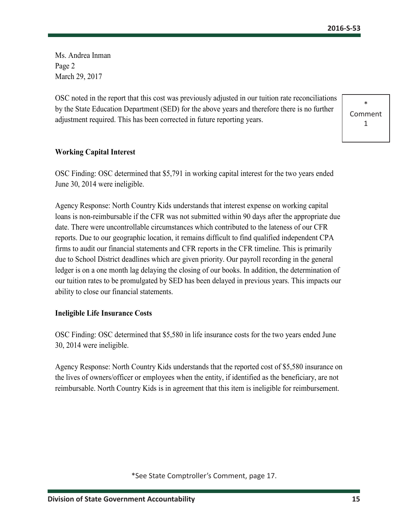Ms. Andrea Inman Page 2 March 29, 2017

OSC noted in the report that this cost was previously adjusted in our tuition rate reconciliations by the State Education Department (SED) for the above years and therefore there is no further adjustment required. This has been corrected in future reporting years.



#### **Working Capital Interest**

OSC Finding: OSC determined that \$5,791 in working capital interest for the two years ended June 30, 2014 were ineligible.

Agency Response: North Country Kids understands that interest expense on working capital loans is non-reimbursable if the CFR was not submitted within 90 days after the appropriate due date. There were uncontrollable circumstances which contributed to the lateness of our CFR reports. Due to our geographic location, it remains difficult to find qualified independent CPA firms to audit our financial statements and CFR reports in the CFR timeline. This is primarily due to School District deadlines which are given priority. Our payroll recording in the general ledger is on a one month lag delaying the closing of our books. In addition, the determination of our tuition rates to be promulgated by SED has been delayed in previous years. This impacts our ability to close our financial statements.

#### **Ineligible Life Insurance Costs**

OSC Finding: OSC determined that \$5,580 in life insurance costs for the two years ended June 30, 2014 were ineligible.

Agency Response: North Country Kids understands that the reported cost of \$5,580 insurance on the lives of owners/officer or employees when the entity, if identified as the beneficiary, are not reimbursable. North Country Kids is in agreement that this item is ineligible for reimbursement.

\*See State Comptroller's Comment, page 17.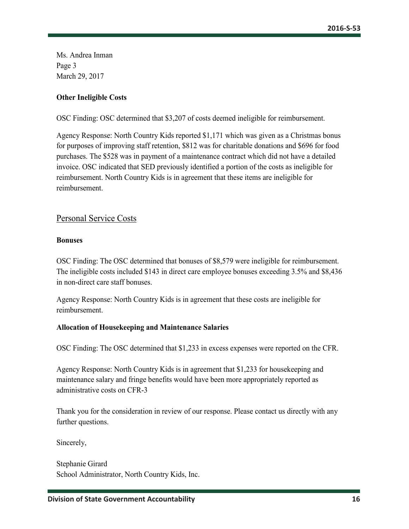Ms. Andrea Inman Page 3 March 29, 2017

#### **Other Ineligible Costs**

OSC Finding: OSC determined that \$3,207 of costs deemed ineligible for reimbursement.

Agency Response: North Country Kids reported \$1,171 which was given as a Christmas bonus for purposes of improving staff retention, \$812 was for charitable donations and \$696 for food purchases. The \$528 was in payment of a maintenance contract which did not have a detailed invoice. OSC indicated that SED previously identified a portion of the costs as ineligible for reimbursement. North Country Kids is in agreement that these items are ineligible for reimbursement.

## Personal Service Costs

#### **Bonuses**

OSC Finding: The OSC determined that bonuses of \$8,579 were ineligible for reimbursement. The ineligible costs included \$143 in direct care employee bonuses exceeding 3.5% and \$8,436 in non-direct care staff bonuses.

Agency Response: North Country Kids is in agreement that these costs are ineligible for reimbursement.

#### **Allocation of Housekeeping and Maintenance Salaries**

OSC Finding: The OSC determined that \$1,233 in excess expenses were reported on the CFR.

Agency Response: North Country Kids is in agreement that \$1,233 for housekeeping and maintenance salary and fringe benefits would have been more appropriately reported as administrative costs on CFR-3

Thank you for the consideration in review of our response. Please contact us directly with any further questions.

Sincerely,

Stephanie Girard School Administrator, North Country Kids, Inc.